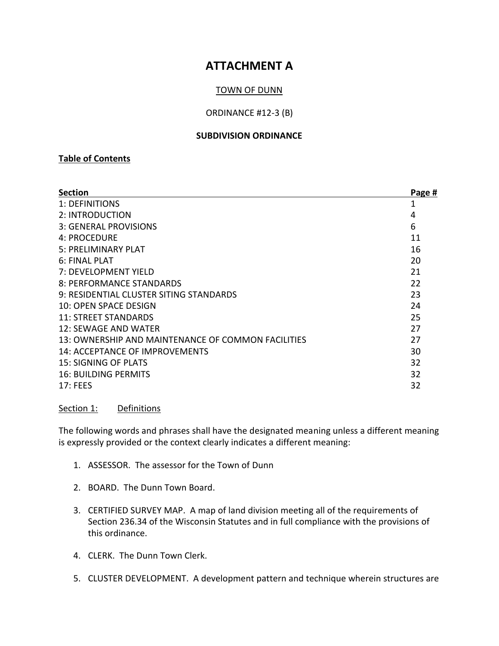# **ATTACHMENT A**

# TOWN OF DUNN

## ORDINANCE #12-3 (B)

#### **SUBDIVISION ORDINANCE**

# **Table of Contents**

| <b>Section</b>                                     | Page # |
|----------------------------------------------------|--------|
| 1: DEFINITIONS                                     | 1      |
| 2: INTRODUCTION                                    | 4      |
| 3: GENERAL PROVISIONS                              | 6      |
| 4: PROCEDURE                                       | 11     |
| 5: PRELIMINARY PLAT                                | 16     |
| 6: FINAL PLAT                                      | 20     |
| 7: DEVELOPMENT YIELD                               | 21     |
| 8: PERFORMANCE STANDARDS                           | 22     |
| 9: RESIDENTIAL CLUSTER SITING STANDARDS            | 23     |
| 10: OPEN SPACE DESIGN                              | 24     |
| <b>11: STREET STANDARDS</b>                        | 25     |
| 12: SEWAGE AND WATER                               | 27     |
| 13: OWNERSHIP AND MAINTENANCE OF COMMON FACILITIES | 27     |
| 14: ACCEPTANCE OF IMPROVEMENTS                     | 30     |
| 15: SIGNING OF PLATS                               | 32     |
| <b>16: BUILDING PERMITS</b>                        | 32     |
| 17:FEES                                            | 32     |

Section 1: Definitions

The following words and phrases shall have the designated meaning unless a different meaning is expressly provided or the context clearly indicates a different meaning:

- 1. ASSESSOR. The assessor for the Town of Dunn
- 2. BOARD. The Dunn Town Board.
- 3. CERTIFIED SURVEY MAP. A map of land division meeting all of the requirements of Section 236.34 of the Wisconsin Statutes and in full compliance with the provisions of this ordinance.
- 4. CLERK. The Dunn Town Clerk.
- 5. CLUSTER DEVELOPMENT. A development pattern and technique wherein structures are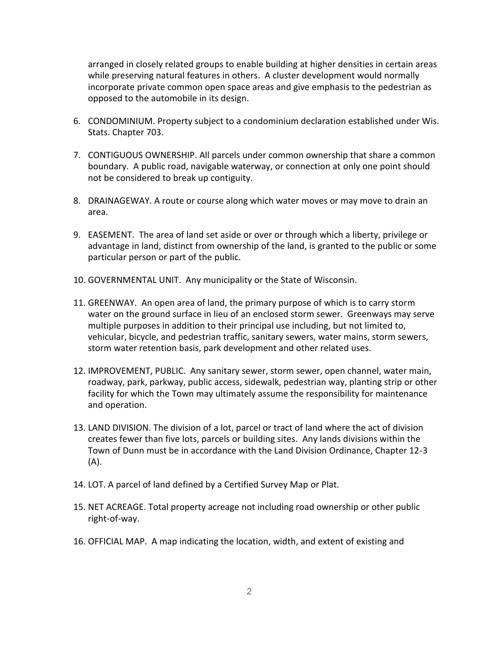arranged in closely related groups to enable building at higher densities in certain areas while preserving natural features in others. A cluster development would normally incorporate private common open space areas and give emphasis to the pedestrian as opposed to the automobile in its design.

- 6. CONDOMINIUM. Property subject to a condominium declaration established under Wis. Stats. Chapter 703.
- 7. CONTIGUOUS OWNERSHIP. All parcels under common ownership that share a common boundary. A public road, navigable waterway, or connection at only one point should not be considered to break up contiguity.
- 8. DRAINAGEWAY. A route or course along which water moves or may move to drain an area.
- 9. EASEMENT. The area of land set aside or over or through which a liberty, privilege or advantage in land, distinct from ownership of the land, is granted to the public or some particular person or part of the public.
- 10. GOVERNMENTAL UNIT. Any municipality or the State of Wisconsin.
- 11. GREENWAY. An open area of land, the primary purpose of which is to carry storm water on the ground surface in lieu of an enclosed storm sewer. Greenways may serve multiple purposes in addition to their principal use including, but not limited to, vehicular, bicycle, and pedestrian traffic, sanitary sewers, water mains, storm sewers, storm water retention basis, park development and other related uses.
- 12. IMPROVEMENT, PUBLIC. Any sanitary sewer, storm sewer, open channel, water main, roadway, park, parkway, public access, sidewalk, pedestrian way, planting strip or other facility for which the Town may ultimately assume the responsibility for maintenance and operation.
- 13. LAND DIVISION. The division of a lot, parcel or tract of land where the act of division creates fewer than five lots, parcels or building sites. Any lands divisions within the Town of Dunn must be in accordance with the Land Division Ordinance, Chapter 12-3 (A).
- 14. LOT. A parcel of land defined by a Certified Survey Map or Plat.
- 15. NET ACREAGE. Total property acreage not including road ownership or other public right-of-way.
- 16. OFFICIAL MAP. A map indicating the location, width, and extent of existing and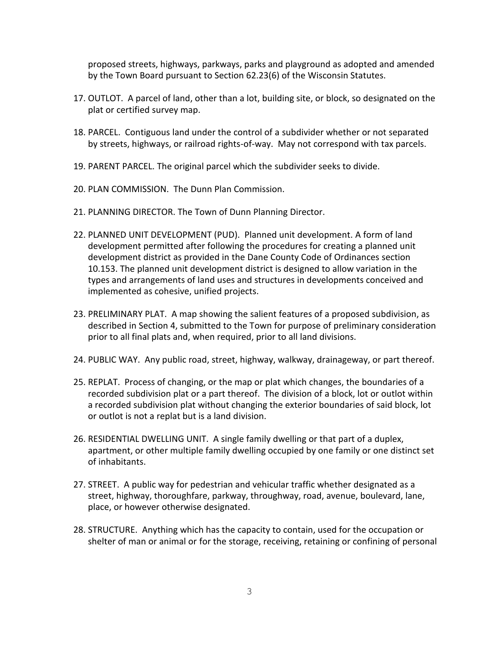proposed streets, highways, parkways, parks and playground as adopted and amended by the Town Board pursuant to Section 62.23(6) of the Wisconsin Statutes.

- 17. OUTLOT. A parcel of land, other than a lot, building site, or block, so designated on the plat or certified survey map.
- 18. PARCEL. Contiguous land under the control of a subdivider whether or not separated by streets, highways, or railroad rights-of-way. May not correspond with tax parcels.
- 19. PARENT PARCEL. The original parcel which the subdivider seeks to divide.
- 20. PLAN COMMISSION. The Dunn Plan Commission.
- 21. PLANNING DIRECTOR. The Town of Dunn Planning Director.
- 22. PLANNED UNIT DEVELOPMENT (PUD). Planned unit development. A form of land development permitted after following the procedures for creating a planned unit development district as provided in the Dane County Code of Ordinances section 10.153. The planned unit development district is designed to allow variation in the types and arrangements of land uses and structures in developments conceived and implemented as cohesive, unified projects.
- 23. PRELIMINARY PLAT. A map showing the salient features of a proposed subdivision, as described in Section 4, submitted to the Town for purpose of preliminary consideration prior to all final plats and, when required, prior to all land divisions.
- 24. PUBLIC WAY. Any public road, street, highway, walkway, drainageway, or part thereof.
- 25. REPLAT. Process of changing, or the map or plat which changes, the boundaries of a recorded subdivision plat or a part thereof. The division of a block, lot or outlot within a recorded subdivision plat without changing the exterior boundaries of said block, lot or outlot is not a replat but is a land division.
- 26. RESIDENTIAL DWELLING UNIT. A single family dwelling or that part of a duplex, apartment, or other multiple family dwelling occupied by one family or one distinct set of inhabitants.
- 27. STREET. A public way for pedestrian and vehicular traffic whether designated as a street, highway, thoroughfare, parkway, throughway, road, avenue, boulevard, lane, place, or however otherwise designated.
- 28. STRUCTURE. Anything which has the capacity to contain, used for the occupation or shelter of man or animal or for the storage, receiving, retaining or confining of personal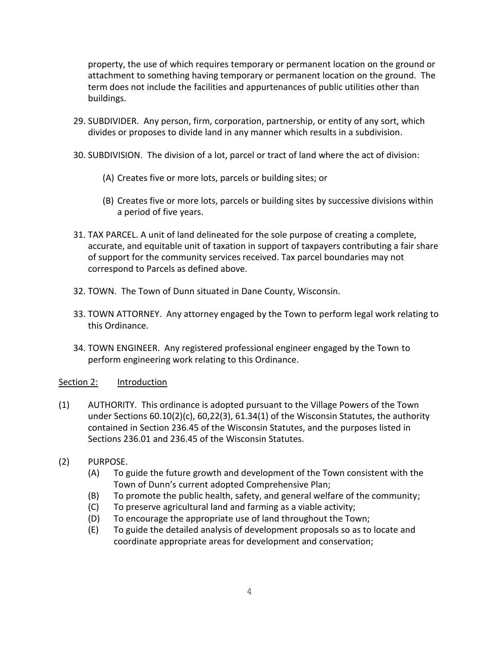property, the use of which requires temporary or permanent location on the ground or attachment to something having temporary or permanent location on the ground. The term does not include the facilities and appurtenances of public utilities other than buildings.

- 29. SUBDIVIDER. Any person, firm, corporation, partnership, or entity of any sort, which divides or proposes to divide land in any manner which results in a subdivision.
- 30. SUBDIVISION. The division of a lot, parcel or tract of land where the act of division:
	- (A) Creates five or more lots, parcels or building sites; or
	- (B) Creates five or more lots, parcels or building sites by successive divisions within a period of five years.
- 31. TAX PARCEL. A unit of land delineated for the sole purpose of creating a complete, accurate, and equitable unit of taxation in support of taxpayers contributing a fair share of support for the community services received. Tax parcel boundaries may not correspond to Parcels as defined above.
- 32. TOWN. The Town of Dunn situated in Dane County, Wisconsin.
- 33. TOWN ATTORNEY. Any attorney engaged by the Town to perform legal work relating to this Ordinance.
- 34. TOWN ENGINEER. Any registered professional engineer engaged by the Town to perform engineering work relating to this Ordinance.

## Section 2: Introduction

- (1) AUTHORITY. This ordinance is adopted pursuant to the Village Powers of the Town under Sections 60.10(2)(c), 60,22(3), 61.34(1) of the Wisconsin Statutes, the authority contained in Section 236.45 of the Wisconsin Statutes, and the purposes listed in Sections 236.01 and 236.45 of the Wisconsin Statutes.
- (2) PURPOSE.
	- (A) To guide the future growth and development of the Town consistent with the Town of Dunn's current adopted Comprehensive Plan;
	- (B) To promote the public health, safety, and general welfare of the community;
	- (C) To preserve agricultural land and farming as a viable activity;
	- (D) To encourage the appropriate use of land throughout the Town;
	- (E) To guide the detailed analysis of development proposals so as to locate and coordinate appropriate areas for development and conservation;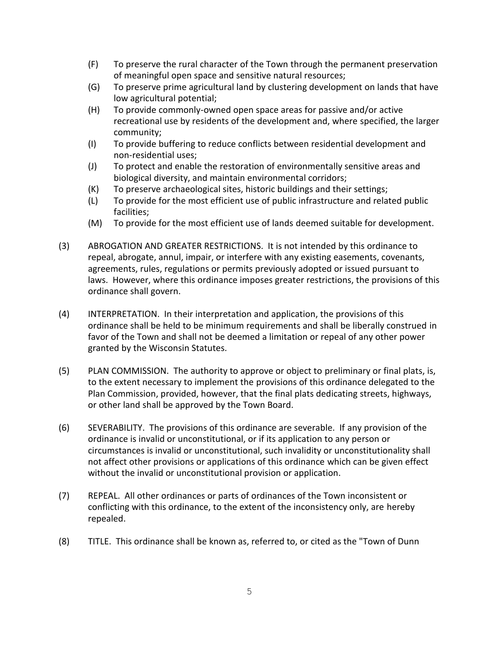- (F) To preserve the rural character of the Town through the permanent preservation of meaningful open space and sensitive natural resources;
- (G) To preserve prime agricultural land by clustering development on lands that have low agricultural potential;
- (H) To provide commonly-owned open space areas for passive and/or active recreational use by residents of the development and, where specified, the larger community;
- (I) To provide buffering to reduce conflicts between residential development and non-residential uses;
- (J) To protect and enable the restoration of environmentally sensitive areas and biological diversity, and maintain environmental corridors;
- (K) To preserve archaeological sites, historic buildings and their settings;
- (L) To provide for the most efficient use of public infrastructure and related public facilities;
- (M) To provide for the most efficient use of lands deemed suitable for development.
- (3) ABROGATION AND GREATER RESTRICTIONS. It is not intended by this ordinance to repeal, abrogate, annul, impair, or interfere with any existing easements, covenants, agreements, rules, regulations or permits previously adopted or issued pursuant to laws. However, where this ordinance imposes greater restrictions, the provisions of this ordinance shall govern.
- (4) INTERPRETATION. In their interpretation and application, the provisions of this ordinance shall be held to be minimum requirements and shall be liberally construed in favor of the Town and shall not be deemed a limitation or repeal of any other power granted by the Wisconsin Statutes.
- (5) PLAN COMMISSION. The authority to approve or object to preliminary or final plats, is, to the extent necessary to implement the provisions of this ordinance delegated to the Plan Commission, provided, however, that the final plats dedicating streets, highways, or other land shall be approved by the Town Board.
- (6) SEVERABILITY. The provisions of this ordinance are severable. If any provision of the ordinance is invalid or unconstitutional, or if its application to any person or circumstances is invalid or unconstitutional, such invalidity or unconstitutionality shall not affect other provisions or applications of this ordinance which can be given effect without the invalid or unconstitutional provision or application.
- (7) REPEAL. All other ordinances or parts of ordinances of the Town inconsistent or conflicting with this ordinance, to the extent of the inconsistency only, are hereby repealed.
- (8) TITLE. This ordinance shall be known as, referred to, or cited as the "Town of Dunn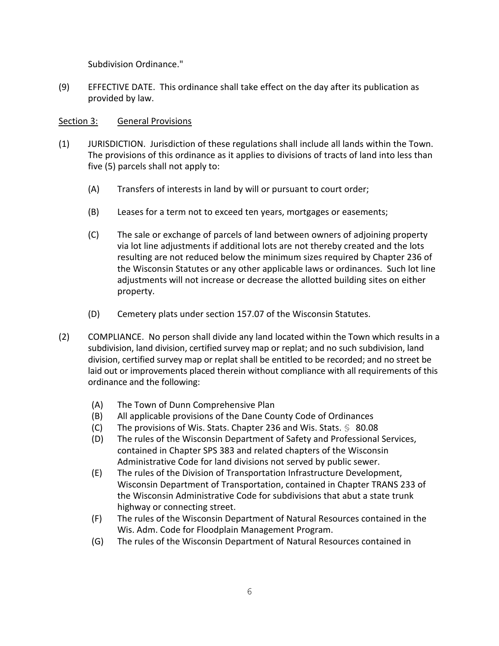Subdivision Ordinance."

(9) EFFECTIVE DATE. This ordinance shall take effect on the day after its publication as provided by law.

## Section 3: General Provisions

- (1) JURISDICTION. Jurisdiction of these regulations shall include all lands within the Town. The provisions of this ordinance as it applies to divisions of tracts of land into less than five (5) parcels shall not apply to:
	- (A) Transfers of interests in land by will or pursuant to court order;
	- (B) Leases for a term not to exceed ten years, mortgages or easements;
	- (C) The sale or exchange of parcels of land between owners of adjoining property via lot line adjustments if additional lots are not thereby created and the lots resulting are not reduced below the minimum sizes required by Chapter 236 of the Wisconsin Statutes or any other applicable laws or ordinances. Such lot line adjustments will not increase or decrease the allotted building sites on either property.
	- (D) Cemetery plats under section 157.07 of the Wisconsin Statutes.
- (2) COMPLIANCE. No person shall divide any land located within the Town which results in a subdivision, land division, certified survey map or replat; and no such subdivision, land division, certified survey map or replat shall be entitled to be recorded; and no street be laid out or improvements placed therein without compliance with all requirements of this ordinance and the following:
	- (A) The Town of Dunn Comprehensive Plan
	- (B) All applicable provisions of the Dane County Code of Ordinances
	- (C) The provisions of Wis. Stats. Chapter 236 and Wis. Stats.  $\frac{6}{5}$  80.08
	- (D) The rules of the Wisconsin Department of Safety and Professional Services, contained in Chapter SPS 383 and related chapters of the Wisconsin Administrative Code for land divisions not served by public sewer.
	- (E) The rules of the Division of Transportation Infrastructure Development, Wisconsin Department of Transportation, contained in Chapter TRANS 233 of the Wisconsin Administrative Code for subdivisions that abut a state trunk highway or connecting street.
	- (F) The rules of the Wisconsin Department of Natural Resources contained in the Wis. Adm. Code for Floodplain Management Program.
	- (G) The rules of the Wisconsin Department of Natural Resources contained in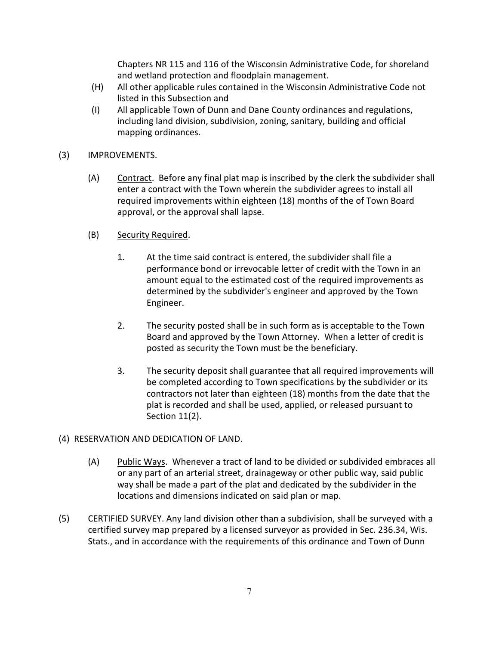Chapters NR 115 and 116 of the Wisconsin Administrative Code, for shoreland and wetland protection and floodplain management.

- (H) All other applicable rules contained in the Wisconsin Administrative Code not listed in this Subsection and
- (I) All applicable Town of Dunn and Dane County ordinances and regulations, including land division, subdivision, zoning, sanitary, building and official mapping ordinances.
- (3) IMPROVEMENTS.
	- (A) Contract. Before any final plat map is inscribed by the clerk the subdivider shall enter a contract with the Town wherein the subdivider agrees to install all required improvements within eighteen (18) months of the of Town Board approval, or the approval shall lapse.
	- (B) Security Required.
		- 1. At the time said contract is entered, the subdivider shall file a performance bond or irrevocable letter of credit with the Town in an amount equal to the estimated cost of the required improvements as determined by the subdivider's engineer and approved by the Town Engineer.
		- 2. The security posted shall be in such form as is acceptable to the Town Board and approved by the Town Attorney. When a letter of credit is posted as security the Town must be the beneficiary.
		- 3. The security deposit shall guarantee that all required improvements will be completed according to Town specifications by the subdivider or its contractors not later than eighteen (18) months from the date that the plat is recorded and shall be used, applied, or released pursuant to Section 11(2).

# (4) RESERVATION AND DEDICATION OF LAND.

- (A) Public Ways. Whenever a tract of land to be divided or subdivided embraces all or any part of an arterial street, drainageway or other public way, said public way shall be made a part of the plat and dedicated by the subdivider in the locations and dimensions indicated on said plan or map.
- (5) CERTIFIED SURVEY. Any land division other than a subdivision, shall be surveyed with a certified survey map prepared by a licensed surveyor as provided in Sec. 236.34, Wis. Stats., and in accordance with the requirements of this ordinance and Town of Dunn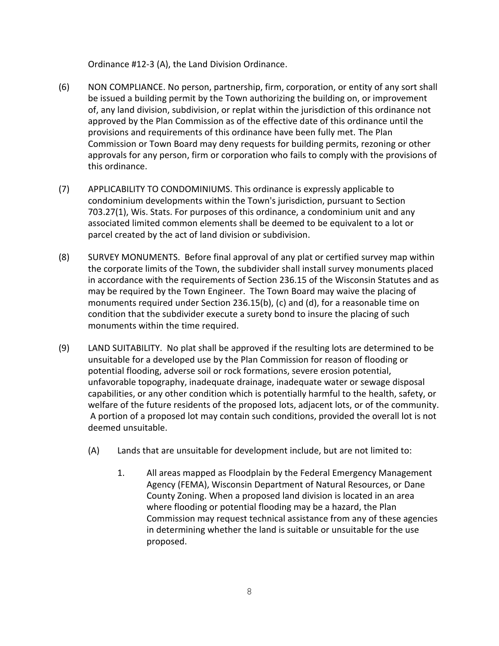Ordinance #12-3 (A), the Land Division Ordinance.

- (6) NON COMPLIANCE. No person, partnership, firm, corporation, or entity of any sort shall be issued a building permit by the Town authorizing the building on, or improvement of, any land division, subdivision, or replat within the jurisdiction of this ordinance not approved by the Plan Commission as of the effective date of this ordinance until the provisions and requirements of this ordinance have been fully met. The Plan Commission or Town Board may deny requests for building permits, rezoning or other approvals for any person, firm or corporation who fails to comply with the provisions of this ordinance.
- (7) APPLICABILITY TO CONDOMINIUMS. This ordinance is expressly applicable to condominium developments within the Town's jurisdiction, pursuant to Section 703.27(1), Wis. Stats. For purposes of this ordinance, a condominium unit and any associated limited common elements shall be deemed to be equivalent to a lot or parcel created by the act of land division or subdivision.
- (8) SURVEY MONUMENTS. Before final approval of any plat or certified survey map within the corporate limits of the Town, the subdivider shall install survey monuments placed in accordance with the requirements of Section 236.15 of the Wisconsin Statutes and as may be required by the Town Engineer. The Town Board may waive the placing of monuments required under Section 236.15(b), (c) and (d), for a reasonable time on condition that the subdivider execute a surety bond to insure the placing of such monuments within the time required.
- (9) LAND SUITABILITY. No plat shall be approved if the resulting lots are determined to be unsuitable for a developed use by the Plan Commission for reason of flooding or potential flooding, adverse soil or rock formations, severe erosion potential, unfavorable topography, inadequate drainage, inadequate water or sewage disposal capabilities, or any other condition which is potentially harmful to the health, safety, or welfare of the future residents of the proposed lots, adjacent lots, or of the community. A portion of a proposed lot may contain such conditions, provided the overall lot is not deemed unsuitable.
	- (A) Lands that are unsuitable for development include, but are not limited to:
		- 1. All areas mapped as Floodplain by the Federal Emergency Management Agency (FEMA), Wisconsin Department of Natural Resources, or Dane County Zoning. When a proposed land division is located in an area where flooding or potential flooding may be a hazard, the Plan Commission may request technical assistance from any of these agencies in determining whether the land is suitable or unsuitable for the use proposed.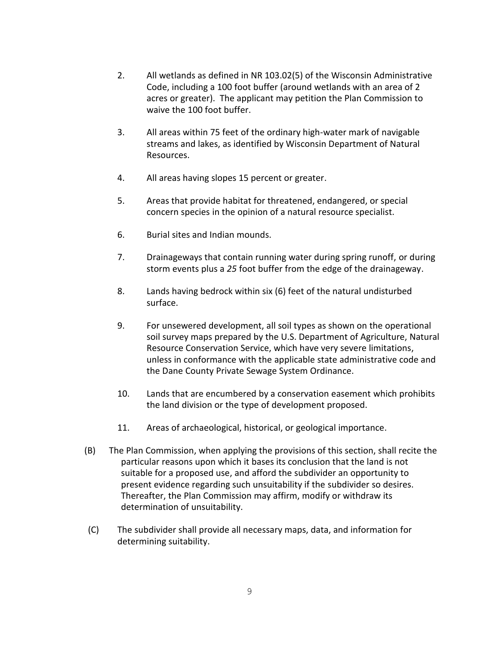- 2. All wetlands as defined in NR 103.02(5) of the Wisconsin Administrative Code, including a 100 foot buffer (around wetlands with an area of 2 acres or greater). The applicant may petition the Plan Commission to waive the 100 foot buffer.
- 3. All areas within 75 feet of the ordinary high-water mark of navigable streams and lakes, as identified by Wisconsin Department of Natural Resources.
- 4. All areas having slopes 15 percent or greater.
- 5. Areas that provide habitat for threatened, endangered, or special concern species in the opinion of a natural resource specialist.
- 6. Burial sites and Indian mounds.
- 7. Drainageways that contain running water during spring runoff, or during storm events plus a *25* foot buffer from the edge of the drainageway.
- 8. Lands having bedrock within six (6) feet of the natural undisturbed surface.
- 9. For unsewered development, all soil types as shown on the operational soil survey maps prepared by the U.S. Department of Agriculture, Natural Resource Conservation Service, which have very severe limitations, unless in conformance with the applicable state administrative code and the Dane County Private Sewage System Ordinance.
- 10. Lands that are encumbered by a conservation easement which prohibits the land division or the type of development proposed.
- 11. Areas of archaeological, historical, or geological importance.
- (B) The Plan Commission, when applying the provisions of this section, shall recite the particular reasons upon which it bases its conclusion that the land is not suitable for a proposed use, and afford the subdivider an opportunity to present evidence regarding such unsuitability if the subdivider so desires. Thereafter, the Plan Commission may affirm, modify or withdraw its determination of unsuitability.
- (C) The subdivider shall provide all necessary maps, data, and information for determining suitability.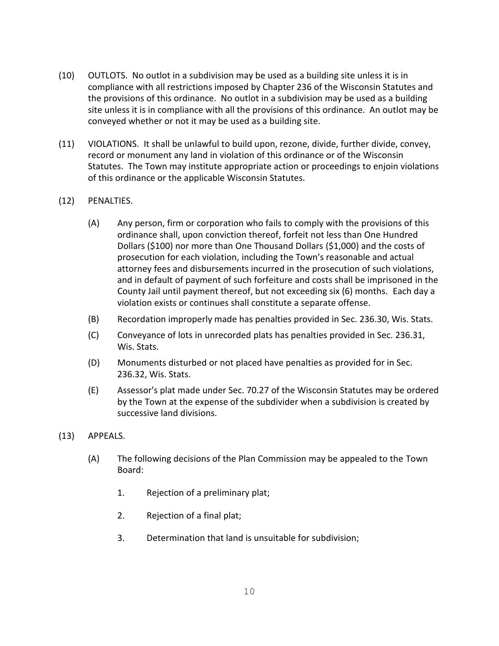- (10) OUTLOTS. No outlot in a subdivision may be used as a building site unless it is in compliance with all restrictions imposed by Chapter 236 of the Wisconsin Statutes and the provisions of this ordinance. No outlot in a subdivision may be used as a building site unless it is in compliance with all the provisions of this ordinance. An outlot may be conveyed whether or not it may be used as a building site.
- (11) VIOLATIONS. It shall be unlawful to build upon, rezone, divide, further divide, convey, record or monument any land in violation of this ordinance or of the Wisconsin Statutes. The Town may institute appropriate action or proceedings to enjoin violations of this ordinance or the applicable Wisconsin Statutes.
- (12) PENALTIES.
	- (A) Any person, firm or corporation who fails to comply with the provisions of this ordinance shall, upon conviction thereof, forfeit not less than One Hundred Dollars (\$100) nor more than One Thousand Dollars (\$1,000) and the costs of prosecution for each violation, including the Town's reasonable and actual attorney fees and disbursements incurred in the prosecution of such violations, and in default of payment of such forfeiture and costs shall be imprisoned in the County Jail until payment thereof, but not exceeding six (6) months. Each day a violation exists or continues shall constitute a separate offense.
	- (B) Recordation improperly made has penalties provided in Sec. 236.30, Wis. Stats.
	- (C) Conveyance of lots in unrecorded plats has penalties provided in Sec. 236.31, Wis. Stats.
	- (D) Monuments disturbed or not placed have penalties as provided for in Sec. 236.32, Wis. Stats.
	- (E) Assessor's plat made under Sec. 70.27 of the Wisconsin Statutes may be ordered by the Town at the expense of the subdivider when a subdivision is created by successive land divisions.
- (13) APPEALS.
	- (A) The following decisions of the Plan Commission may be appealed to the Town Board:
		- 1. Rejection of a preliminary plat;
		- 2. Rejection of a final plat;
		- 3. Determination that land is unsuitable for subdivision;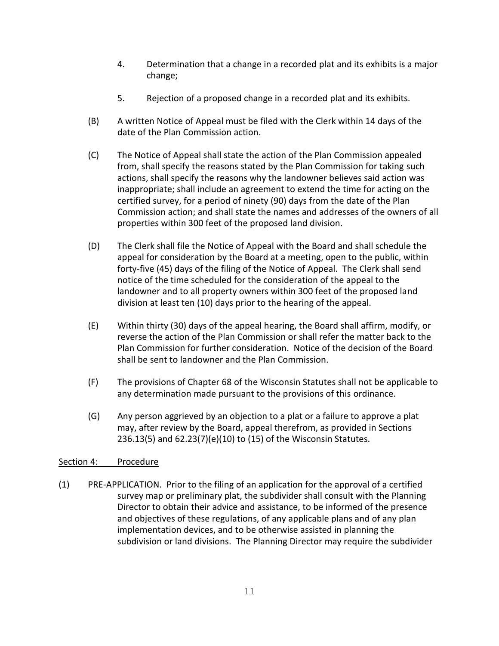- 4. Determination that a change in a recorded plat and its exhibits is a major change;
- 5. Rejection of a proposed change in a recorded plat and its exhibits.
- (B) A written Notice of Appeal must be filed with the Clerk within 14 days of the date of the Plan Commission action.
- (C) The Notice of Appeal shall state the action of the Plan Commission appealed from, shall specify the reasons stated by the Plan Commission for taking such actions, shall specify the reasons why the landowner believes said action was inappropriate; shall include an agreement to extend the time for acting on the certified survey, for a period of ninety (90) days from the date of the Plan Commission action; and shall state the names and addresses of the owners of all properties within 300 feet of the proposed land division.
- (D) The Clerk shall file the Notice of Appeal with the Board and shall schedule the appeal for consideration by the Board at a meeting, open to the public, within forty-five (45) days of the filing of the Notice of Appeal. The Clerk shall send notice of the time scheduled for the consideration of the appeal to the landowner and to all property owners within 300 feet of the proposed land division at least ten (10) days prior to the hearing of the appeal.
- (E) Within thirty (30) days of the appeal hearing, the Board shall affirm, modify, or reverse the action of the Plan Commission or shall refer the matter back to the Plan Commission for further consideration. Notice of the decision of the Board shall be sent to landowner and the Plan Commission.
- (F) The provisions of Chapter 68 of the Wisconsin Statutes shall not be applicable to any determination made pursuant to the provisions of this ordinance.
- (G) Any person aggrieved by an objection to a plat or a failure to approve a plat may, after review by the Board, appeal therefrom, as provided in Sections 236.13(5) and 62.23(7)(e)(10) to (15) of the Wisconsin Statutes.

# Section 4: Procedure

(1) PRE-APPLICATION. Prior to the filing of an application for the approval of a certified survey map or preliminary plat, the subdivider shall consult with the Planning Director to obtain their advice and assistance, to be informed of the presence and objectives of these regulations, of any applicable plans and of any plan implementation devices, and to be otherwise assisted in planning the subdivision or land divisions. The Planning Director may require the subdivider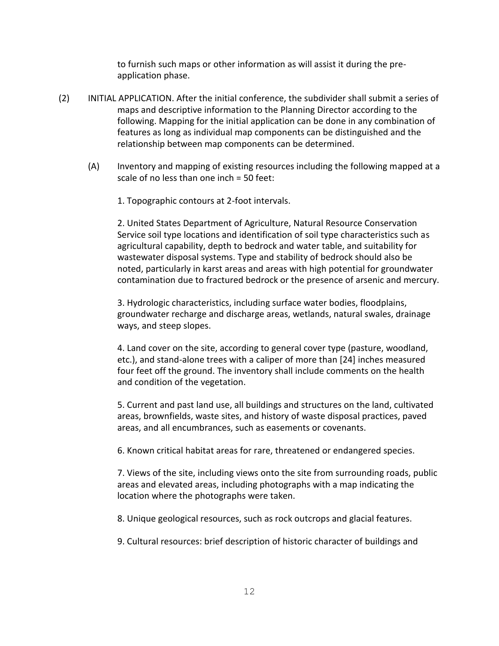to furnish such maps or other information as will assist it during the preapplication phase.

- (2) INITIAL APPLICATION. After the initial conference, the subdivider shall submit a series of maps and descriptive information to the Planning Director according to the following. Mapping for the initial application can be done in any combination of features as long as individual map components can be distinguished and the relationship between map components can be determined.
	- (A) Inventory and mapping of existing resources including the following mapped at a scale of no less than one inch = 50 feet:
		- 1. Topographic contours at 2-foot intervals.

2. United States Department of Agriculture, Natural Resource Conservation Service soil type locations and identification of soil type characteristics such as agricultural capability, depth to bedrock and water table, and suitability for wastewater disposal systems. Type and stability of bedrock should also be noted, particularly in karst areas and areas with high potential for groundwater contamination due to fractured bedrock or the presence of arsenic and mercury.

3. Hydrologic characteristics, including surface water bodies, floodplains, groundwater recharge and discharge areas, wetlands, natural swales, drainage ways, and steep slopes.

4. Land cover on the site, according to general cover type (pasture, woodland, etc.), and stand-alone trees with a caliper of more than [24] inches measured four feet off the ground. The inventory shall include comments on the health and condition of the vegetation.

5. Current and past land use, all buildings and structures on the land, cultivated areas, brownfields, waste sites, and history of waste disposal practices, paved areas, and all encumbrances, such as easements or covenants.

6. Known critical habitat areas for rare, threatened or endangered species.

7. Views of the site, including views onto the site from surrounding roads, public areas and elevated areas, including photographs with a map indicating the location where the photographs were taken.

8. Unique geological resources, such as rock outcrops and glacial features.

9. Cultural resources: brief description of historic character of buildings and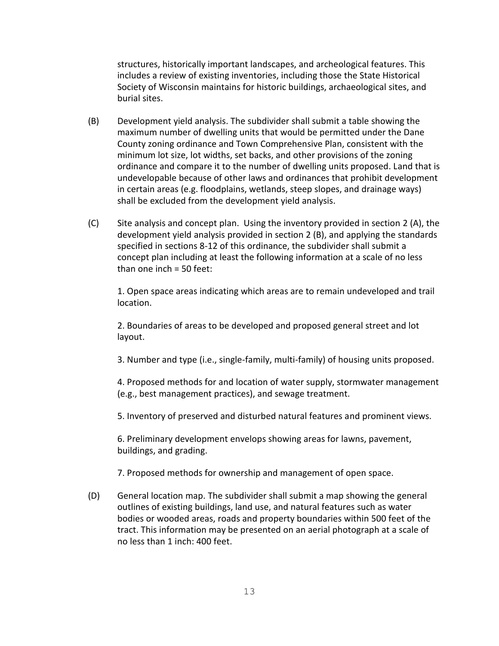structures, historically important landscapes, and archeological features. This includes a review of existing inventories, including those the State Historical Society of Wisconsin maintains for historic buildings, archaeological sites, and burial sites.

- (B) Development yield analysis. The subdivider shall submit a table showing the maximum number of dwelling units that would be permitted under the Dane County zoning ordinance and Town Comprehensive Plan, consistent with the minimum lot size, lot widths, set backs, and other provisions of the zoning ordinance and compare it to the number of dwelling units proposed. Land that is undevelopable because of other laws and ordinances that prohibit development in certain areas (e.g. floodplains, wetlands, steep slopes, and drainage ways) shall be excluded from the development yield analysis.
- (C) Site analysis and concept plan. Using the inventory provided in section 2 (A), the development yield analysis provided in section 2 (B), and applying the standards specified in sections 8-12 of this ordinance, the subdivider shall submit a concept plan including at least the following information at a scale of no less than one inch = 50 feet:

1. Open space areas indicating which areas are to remain undeveloped and trail location.

2. Boundaries of areas to be developed and proposed general street and lot layout.

3. Number and type (i.e., single-family, multi-family) of housing units proposed.

4. Proposed methods for and location of water supply, stormwater management (e.g., best management practices), and sewage treatment.

5. Inventory of preserved and disturbed natural features and prominent views.

6. Preliminary development envelops showing areas for lawns, pavement, buildings, and grading.

7. Proposed methods for ownership and management of open space.

(D) General location map. The subdivider shall submit a map showing the general outlines of existing buildings, land use, and natural features such as water bodies or wooded areas, roads and property boundaries within 500 feet of the tract. This information may be presented on an aerial photograph at a scale of no less than 1 inch: 400 feet.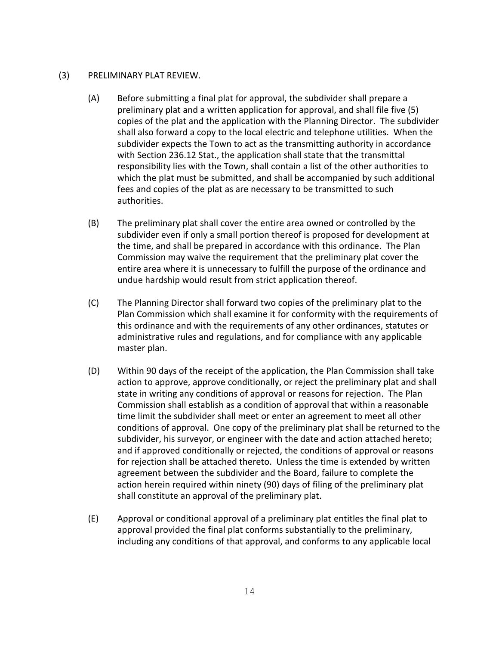#### (3) PRELIMINARY PLAT REVIEW.

- (A) Before submitting a final plat for approval, the subdivider shall prepare a preliminary plat and a written application for approval, and shall file five (5) copies of the plat and the application with the Planning Director. The subdivider shall also forward a copy to the local electric and telephone utilities. When the subdivider expects the Town to act as the transmitting authority in accordance with Section 236.12 Stat., the application shall state that the transmittal responsibility lies with the Town, shall contain a list of the other authorities to which the plat must be submitted, and shall be accompanied by such additional fees and copies of the plat as are necessary to be transmitted to such authorities.
- (B) The preliminary plat shall cover the entire area owned or controlled by the subdivider even if only a small portion thereof is proposed for development at the time, and shall be prepared in accordance with this ordinance. The Plan Commission may waive the requirement that the preliminary plat cover the entire area where it is unnecessary to fulfill the purpose of the ordinance and undue hardship would result from strict application thereof.
- (C) The Planning Director shall forward two copies of the preliminary plat to the Plan Commission which shall examine it for conformity with the requirements of this ordinance and with the requirements of any other ordinances, statutes or administrative rules and regulations, and for compliance with any applicable master plan.
- (D) Within 90 days of the receipt of the application, the Plan Commission shall take action to approve, approve conditionally, or reject the preliminary plat and shall state in writing any conditions of approval or reasons for rejection. The Plan Commission shall establish as a condition of approval that within a reasonable time limit the subdivider shall meet or enter an agreement to meet all other conditions of approval. One copy of the preliminary plat shall be returned to the subdivider, his surveyor, or engineer with the date and action attached hereto; and if approved conditionally or rejected, the conditions of approval or reasons for rejection shall be attached thereto. Unless the time is extended by written agreement between the subdivider and the Board, failure to complete the action herein required within ninety (90) days of filing of the preliminary plat shall constitute an approval of the preliminary plat.
- (E) Approval or conditional approval of a preliminary plat entitles the final plat to approval provided the final plat conforms substantially to the preliminary, including any conditions of that approval, and conforms to any applicable local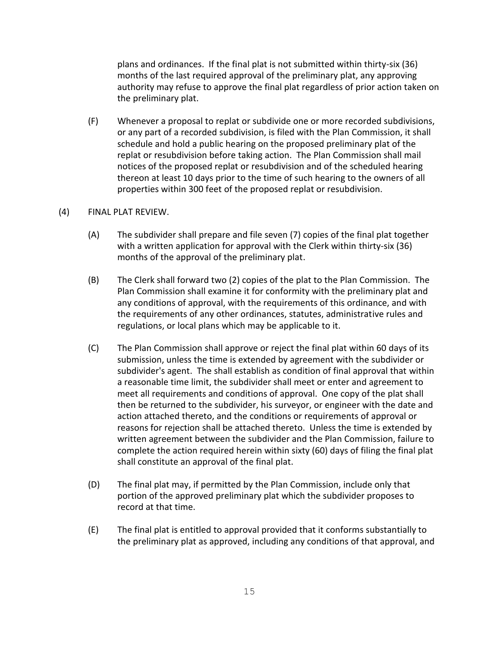plans and ordinances. If the final plat is not submitted within thirty-six (36) months of the last required approval of the preliminary plat, any approving authority may refuse to approve the final plat regardless of prior action taken on the preliminary plat.

(F) Whenever a proposal to replat or subdivide one or more recorded subdivisions, or any part of a recorded subdivision, is filed with the Plan Commission, it shall schedule and hold a public hearing on the proposed preliminary plat of the replat or resubdivision before taking action. The Plan Commission shall mail notices of the proposed replat or resubdivision and of the scheduled hearing thereon at least 10 days prior to the time of such hearing to the owners of all properties within 300 feet of the proposed replat or resubdivision.

## (4) FINAL PLAT REVIEW.

- (A) The subdivider shall prepare and file seven (7) copies of the final plat together with a written application for approval with the Clerk within thirty-six (36) months of the approval of the preliminary plat.
- (B) The Clerk shall forward two (2) copies of the plat to the Plan Commission. The Plan Commission shall examine it for conformity with the preliminary plat and any conditions of approval, with the requirements of this ordinance, and with the requirements of any other ordinances, statutes, administrative rules and regulations, or local plans which may be applicable to it.
- (C) The Plan Commission shall approve or reject the final plat within 60 days of its submission, unless the time is extended by agreement with the subdivider or subdivider's agent. The shall establish as condition of final approval that within a reasonable time limit, the subdivider shall meet or enter and agreement to meet all requirements and conditions of approval. One copy of the plat shall then be returned to the subdivider, his surveyor, or engineer with the date and action attached thereto, and the conditions or requirements of approval or reasons for rejection shall be attached thereto. Unless the time is extended by written agreement between the subdivider and the Plan Commission, failure to complete the action required herein within sixty (60) days of filing the final plat shall constitute an approval of the final plat.
- (D) The final plat may, if permitted by the Plan Commission, include only that portion of the approved preliminary plat which the subdivider proposes to record at that time.
- (E) The final plat is entitled to approval provided that it conforms substantially to the preliminary plat as approved, including any conditions of that approval, and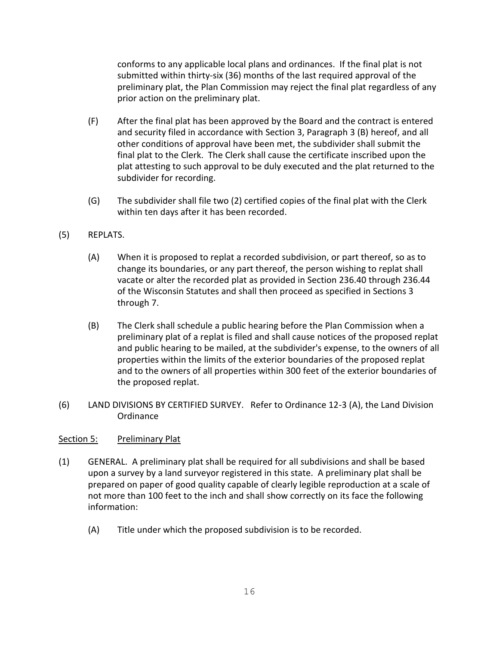conforms to any applicable local plans and ordinances. If the final plat is not submitted within thirty-six (36) months of the last required approval of the preliminary plat, the Plan Commission may reject the final plat regardless of any prior action on the preliminary plat.

- (F) After the final plat has been approved by the Board and the contract is entered and security filed in accordance with Section 3, Paragraph 3 (B) hereof, and all other conditions of approval have been met, the subdivider shall submit the final plat to the Clerk. The Clerk shall cause the certificate inscribed upon the plat attesting to such approval to be duly executed and the plat returned to the subdivider for recording.
- (G) The subdivider shall file two (2) certified copies of the final plat with the Clerk within ten days after it has been recorded.
- (5) REPLATS.
	- (A) When it is proposed to replat a recorded subdivision, or part thereof, so as to change its boundaries, or any part thereof, the person wishing to replat shall vacate or alter the recorded plat as provided in Section 236.40 through 236.44 of the Wisconsin Statutes and shall then proceed as specified in Sections 3 through 7.
	- (B) The Clerk shall schedule a public hearing before the Plan Commission when a preliminary plat of a replat is filed and shall cause notices of the proposed replat and public hearing to be mailed, at the subdivider's expense, to the owners of all properties within the limits of the exterior boundaries of the proposed replat and to the owners of all properties within 300 feet of the exterior boundaries of the proposed replat.
- (6) LAND DIVISIONS BY CERTIFIED SURVEY. Refer to Ordinance 12-3 (A), the Land Division Ordinance

## Section 5: Preliminary Plat

- (1) GENERAL. A preliminary plat shall be required for all subdivisions and shall be based upon a survey by a land surveyor registered in this state. A preliminary plat shall be prepared on paper of good quality capable of clearly legible reproduction at a scale of not more than 100 feet to the inch and shall show correctly on its face the following information:
	- (A) Title under which the proposed subdivision is to be recorded.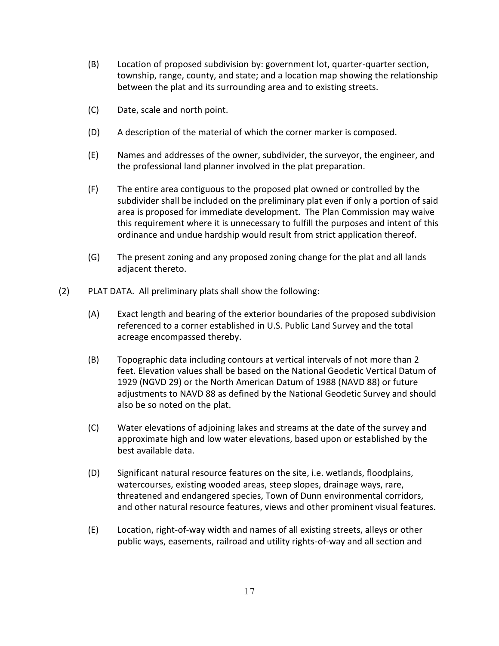- (B) Location of proposed subdivision by: government lot, quarter-quarter section, township, range, county, and state; and a location map showing the relationship between the plat and its surrounding area and to existing streets.
- (C) Date, scale and north point.
- (D) A description of the material of which the corner marker is composed.
- (E) Names and addresses of the owner, subdivider, the surveyor, the engineer, and the professional land planner involved in the plat preparation.
- (F) The entire area contiguous to the proposed plat owned or controlled by the subdivider shall be included on the preliminary plat even if only a portion of said area is proposed for immediate development. The Plan Commission may waive this requirement where it is unnecessary to fulfill the purposes and intent of this ordinance and undue hardship would result from strict application thereof.
- (G) The present zoning and any proposed zoning change for the plat and all lands adjacent thereto.
- (2) PLAT DATA. All preliminary plats shall show the following:
	- (A) Exact length and bearing of the exterior boundaries of the proposed subdivision referenced to a corner established in U.S. Public Land Survey and the total acreage encompassed thereby.
	- (B) Topographic data including contours at vertical intervals of not more than 2 feet. Elevation values shall be based on the National Geodetic Vertical Datum of 1929 (NGVD 29) or the North American Datum of 1988 (NAVD 88) or future adjustments to NAVD 88 as defined by the National Geodetic Survey and should also be so noted on the plat.
	- (C) Water elevations of adjoining lakes and streams at the date of the survey and approximate high and low water elevations, based upon or established by the best available data.
	- (D) Significant natural resource features on the site, i.e. wetlands, floodplains, watercourses, existing wooded areas, steep slopes, drainage ways, rare, threatened and endangered species, Town of Dunn environmental corridors, and other natural resource features, views and other prominent visual features.
	- (E) Location, right-of-way width and names of all existing streets, alleys or other public ways, easements, railroad and utility rights-of-way and all section and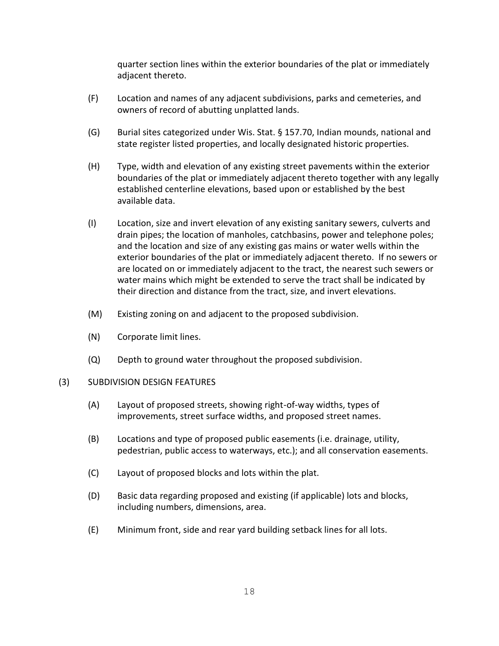quarter section lines within the exterior boundaries of the plat or immediately adjacent thereto.

- (F) Location and names of any adjacent subdivisions, parks and cemeteries, and owners of record of abutting unplatted lands.
- (G) Burial sites categorized under Wis. Stat. § 157.70, Indian mounds, national and state register listed properties, and locally designated historic properties.
- (H) Type, width and elevation of any existing street pavements within the exterior boundaries of the plat or immediately adjacent thereto together with any legally established centerline elevations, based upon or established by the best available data.
- (I) Location, size and invert elevation of any existing sanitary sewers, culverts and drain pipes; the location of manholes, catchbasins, power and telephone poles; and the location and size of any existing gas mains or water wells within the exterior boundaries of the plat or immediately adjacent thereto. If no sewers or are located on or immediately adjacent to the tract, the nearest such sewers or water mains which might be extended to serve the tract shall be indicated by their direction and distance from the tract, size, and invert elevations.
- (M) Existing zoning on and adjacent to the proposed subdivision.
- (N) Corporate limit lines.
- (Q) Depth to ground water throughout the proposed subdivision.

#### (3) SUBDIVISION DESIGN FEATURES

- (A) Layout of proposed streets, showing right-of-way widths, types of improvements, street surface widths, and proposed street names.
- (B) Locations and type of proposed public easements (i.e. drainage, utility, pedestrian, public access to waterways, etc.); and all conservation easements.
- (C) Layout of proposed blocks and lots within the plat.
- (D) Basic data regarding proposed and existing (if applicable) lots and blocks, including numbers, dimensions, area.
- (E) Minimum front, side and rear yard building setback lines for all lots.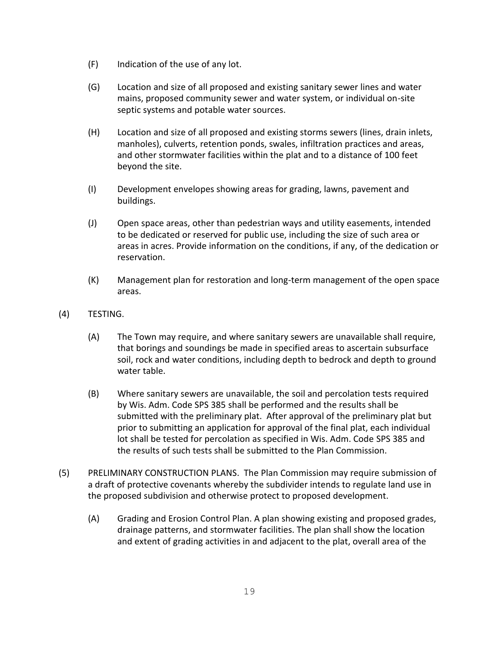- (F) Indication of the use of any lot.
- (G) Location and size of all proposed and existing sanitary sewer lines and water mains, proposed community sewer and water system, or individual on-site septic systems and potable water sources.
- (H) Location and size of all proposed and existing storms sewers (lines, drain inlets, manholes), culverts, retention ponds, swales, infiltration practices and areas, and other stormwater facilities within the plat and to a distance of 100 feet beyond the site.
- (I) Development envelopes showing areas for grading, lawns, pavement and buildings.
- (J) Open space areas, other than pedestrian ways and utility easements, intended to be dedicated or reserved for public use, including the size of such area or areas in acres. Provide information on the conditions, if any, of the dedication or reservation.
- (K) Management plan for restoration and long-term management of the open space areas.
- (4) TESTING.
	- (A) The Town may require, and where sanitary sewers are unavailable shall require, that borings and soundings be made in specified areas to ascertain subsurface soil, rock and water conditions, including depth to bedrock and depth to ground water table.
	- (B) Where sanitary sewers are unavailable, the soil and percolation tests required by Wis. Adm. Code SPS 385 shall be performed and the results shall be submitted with the preliminary plat. After approval of the preliminary plat but prior to submitting an application for approval of the final plat, each individual lot shall be tested for percolation as specified in Wis. Adm. Code SPS 385 and the results of such tests shall be submitted to the Plan Commission.
- (5) PRELIMINARY CONSTRUCTION PLANS. The Plan Commission may require submission of a draft of protective covenants whereby the subdivider intends to regulate land use in the proposed subdivision and otherwise protect to proposed development.
	- (A) Grading and Erosion Control Plan. A plan showing existing and proposed grades, drainage patterns, and stormwater facilities. The plan shall show the location and extent of grading activities in and adjacent to the plat, overall area of the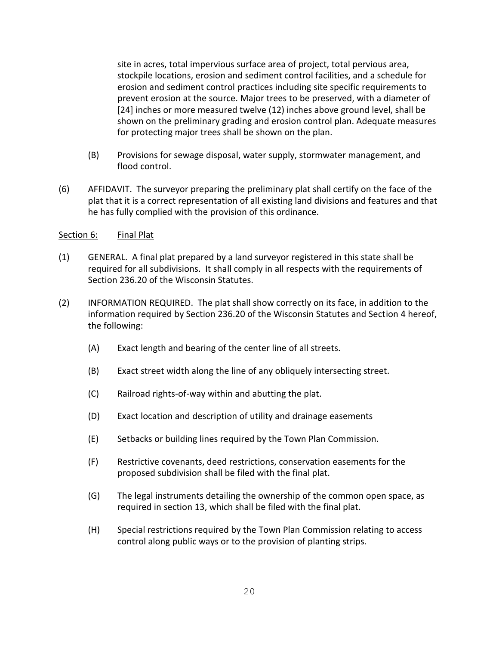site in acres, total impervious surface area of project, total pervious area, stockpile locations, erosion and sediment control facilities, and a schedule for erosion and sediment control practices including site specific requirements to prevent erosion at the source. Major trees to be preserved, with a diameter of [24] inches or more measured twelve (12) inches above ground level, shall be shown on the preliminary grading and erosion control plan. Adequate measures for protecting major trees shall be shown on the plan.

- (B) Provisions for sewage disposal, water supply, stormwater management, and flood control.
- (6) AFFIDAVIT. The surveyor preparing the preliminary plat shall certify on the face of the plat that it is a correct representation of all existing land divisions and features and that he has fully complied with the provision of this ordinance.

## Section 6: Final Plat

- (1) GENERAL. A final plat prepared by a land surveyor registered in this state shall be required for all subdivisions. It shall comply in all respects with the requirements of Section 236.20 of the Wisconsin Statutes.
- (2) INFORMATION REQUIRED. The plat shall show correctly on its face, in addition to the information required by Section 236.20 of the Wisconsin Statutes and Section 4 hereof, the following:
	- (A) Exact length and bearing of the center line of all streets.
	- (B) Exact street width along the line of any obliquely intersecting street.
	- (C) Railroad rights-of-way within and abutting the plat.
	- (D) Exact location and description of utility and drainage easements
	- (E) Setbacks or building lines required by the Town Plan Commission.
	- (F) Restrictive covenants, deed restrictions, conservation easements for the proposed subdivision shall be filed with the final plat.
	- (G) The legal instruments detailing the ownership of the common open space, as required in section 13, which shall be filed with the final plat.
	- (H) Special restrictions required by the Town Plan Commission relating to access control along public ways or to the provision of planting strips.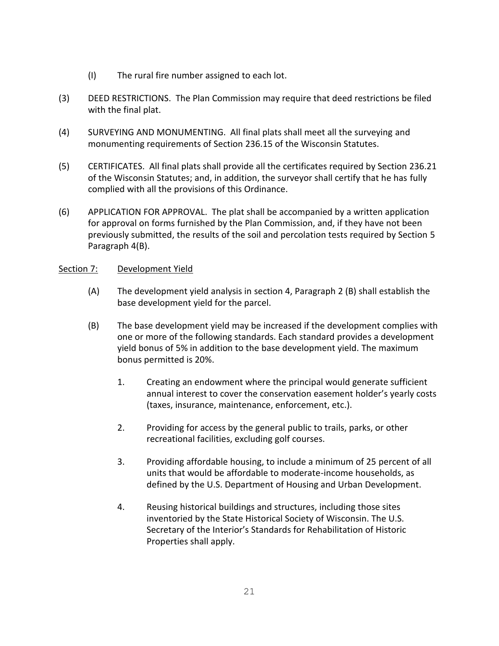- (I) The rural fire number assigned to each lot.
- (3) DEED RESTRICTIONS. The Plan Commission may require that deed restrictions be filed with the final plat.
- (4) SURVEYING AND MONUMENTING. All final plats shall meet all the surveying and monumenting requirements of Section 236.15 of the Wisconsin Statutes.
- (5) CERTIFICATES. All final plats shall provide all the certificates required by Section 236.21 of the Wisconsin Statutes; and, in addition, the surveyor shall certify that he has fully complied with all the provisions of this Ordinance.
- (6) APPLICATION FOR APPROVAL. The plat shall be accompanied by a written application for approval on forms furnished by the Plan Commission, and, if they have not been previously submitted, the results of the soil and percolation tests required by Section 5 Paragraph 4(B).

## Section 7: Development Yield

- (A) The development yield analysis in section 4, Paragraph 2 (B) shall establish the base development yield for the parcel.
- (B) The base development yield may be increased if the development complies with one or more of the following standards. Each standard provides a development yield bonus of 5% in addition to the base development yield. The maximum bonus permitted is 20%.
	- 1. Creating an endowment where the principal would generate sufficient annual interest to cover the conservation easement holder's yearly costs (taxes, insurance, maintenance, enforcement, etc.).
	- 2. Providing for access by the general public to trails, parks, or other recreational facilities, excluding golf courses.
	- 3. Providing affordable housing, to include a minimum of 25 percent of all units that would be affordable to moderate-income households, as defined by the U.S. Department of Housing and Urban Development.
	- 4. Reusing historical buildings and structures, including those sites inventoried by the State Historical Society of Wisconsin. The U.S. Secretary of the Interior's Standards for Rehabilitation of Historic Properties shall apply.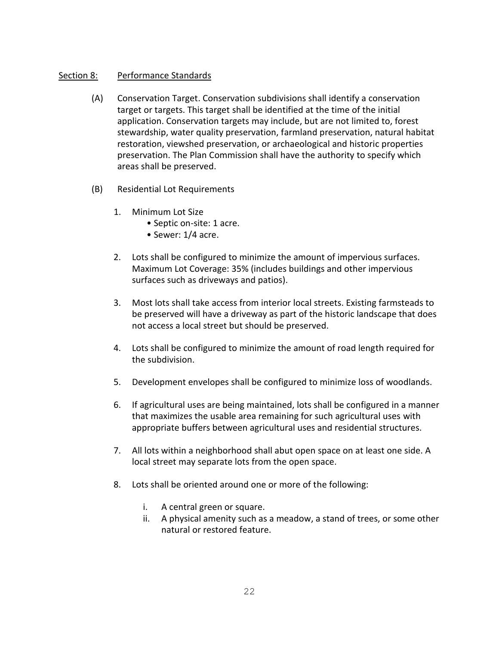## Section 8: Performance Standards

- (A) Conservation Target. Conservation subdivisions shall identify a conservation target or targets. This target shall be identified at the time of the initial application. Conservation targets may include, but are not limited to, forest stewardship, water quality preservation, farmland preservation, natural habitat restoration, viewshed preservation, or archaeological and historic properties preservation. The Plan Commission shall have the authority to specify which areas shall be preserved.
- (B) Residential Lot Requirements
	- 1. Minimum Lot Size
		- Septic on-site: 1 acre.
		- Sewer: 1/4 acre.
	- 2. Lots shall be configured to minimize the amount of impervious surfaces. Maximum Lot Coverage: 35% (includes buildings and other impervious surfaces such as driveways and patios).
	- 3. Most lots shall take access from interior local streets. Existing farmsteads to be preserved will have a driveway as part of the historic landscape that does not access a local street but should be preserved.
	- 4. Lots shall be configured to minimize the amount of road length required for the subdivision.
	- 5. Development envelopes shall be configured to minimize loss of woodlands.
	- 6. If agricultural uses are being maintained, lots shall be configured in a manner that maximizes the usable area remaining for such agricultural uses with appropriate buffers between agricultural uses and residential structures.
	- 7. All lots within a neighborhood shall abut open space on at least one side. A local street may separate lots from the open space.
	- 8. Lots shall be oriented around one or more of the following:
		- i. A central green or square.
		- ii. A physical amenity such as a meadow, a stand of trees, or some other natural or restored feature.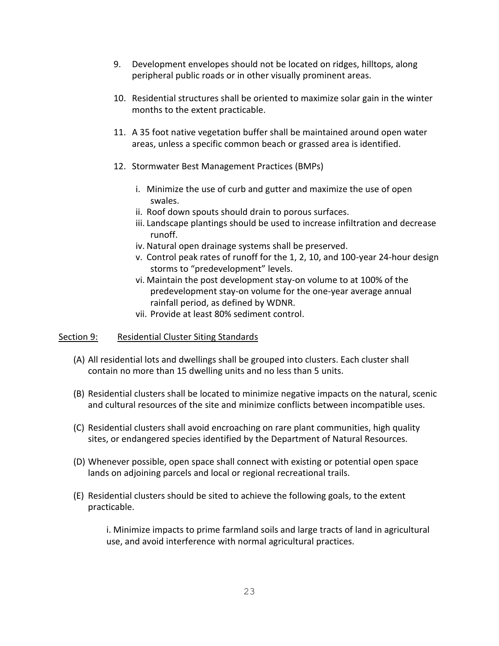- 9. Development envelopes should not be located on ridges, hilltops, along peripheral public roads or in other visually prominent areas.
- 10. Residential structures shall be oriented to maximize solar gain in the winter months to the extent practicable.
- 11. A 35 foot native vegetation buffer shall be maintained around open water areas, unless a specific common beach or grassed area is identified.
- 12. Stormwater Best Management Practices (BMPs)
	- i. Minimize the use of curb and gutter and maximize the use of open swales.
	- ii. Roof down spouts should drain to porous surfaces.
	- iii. Landscape plantings should be used to increase infiltration and decrease runoff.
	- iv. Natural open drainage systems shall be preserved.
	- v. Control peak rates of runoff for the 1, 2, 10, and 100-year 24-hour design storms to "predevelopment" levels.
	- vi. Maintain the post development stay-on volume to at 100% of the predevelopment stay-on volume for the one-year average annual rainfall period, as defined by WDNR.
	- vii. Provide at least 80% sediment control.

#### Section 9: Residential Cluster Siting Standards

- (A) All residential lots and dwellings shall be grouped into clusters. Each cluster shall contain no more than 15 dwelling units and no less than 5 units.
- (B) Residential clusters shall be located to minimize negative impacts on the natural, scenic and cultural resources of the site and minimize conflicts between incompatible uses.
- (C) Residential clusters shall avoid encroaching on rare plant communities, high quality sites, or endangered species identified by the Department of Natural Resources.
- (D) Whenever possible, open space shall connect with existing or potential open space lands on adjoining parcels and local or regional recreational trails.
- (E) Residential clusters should be sited to achieve the following goals, to the extent practicable.

i. Minimize impacts to prime farmland soils and large tracts of land in agricultural use, and avoid interference with normal agricultural practices.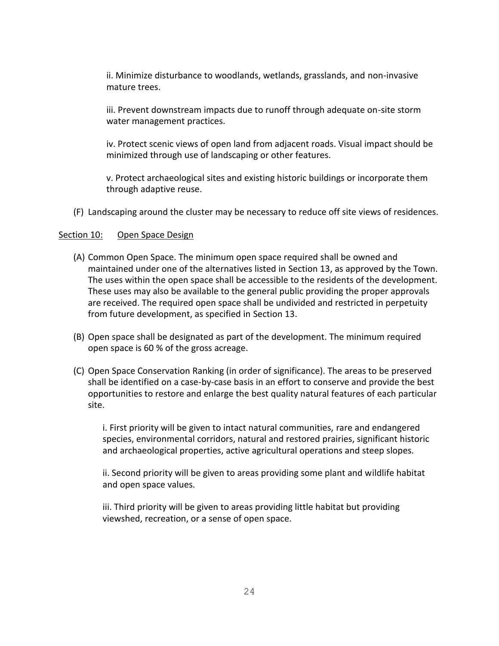ii. Minimize disturbance to woodlands, wetlands, grasslands, and non-invasive mature trees.

iii. Prevent downstream impacts due to runoff through adequate on-site storm water management practices.

iv. Protect scenic views of open land from adjacent roads. Visual impact should be minimized through use of landscaping or other features.

v. Protect archaeological sites and existing historic buildings or incorporate them through adaptive reuse.

(F) Landscaping around the cluster may be necessary to reduce off site views of residences.

#### Section 10: Open Space Design

- (A) Common Open Space. The minimum open space required shall be owned and maintained under one of the alternatives listed in Section 13, as approved by the Town. The uses within the open space shall be accessible to the residents of the development. These uses may also be available to the general public providing the proper approvals are received. The required open space shall be undivided and restricted in perpetuity from future development, as specified in Section 13.
- (B) Open space shall be designated as part of the development. The minimum required open space is 60 % of the gross acreage.
- (C) Open Space Conservation Ranking (in order of significance). The areas to be preserved shall be identified on a case-by-case basis in an effort to conserve and provide the best opportunities to restore and enlarge the best quality natural features of each particular site.

i. First priority will be given to intact natural communities, rare and endangered species, environmental corridors, natural and restored prairies, significant historic and archaeological properties, active agricultural operations and steep slopes.

ii. Second priority will be given to areas providing some plant and wildlife habitat and open space values.

iii. Third priority will be given to areas providing little habitat but providing viewshed, recreation, or a sense of open space.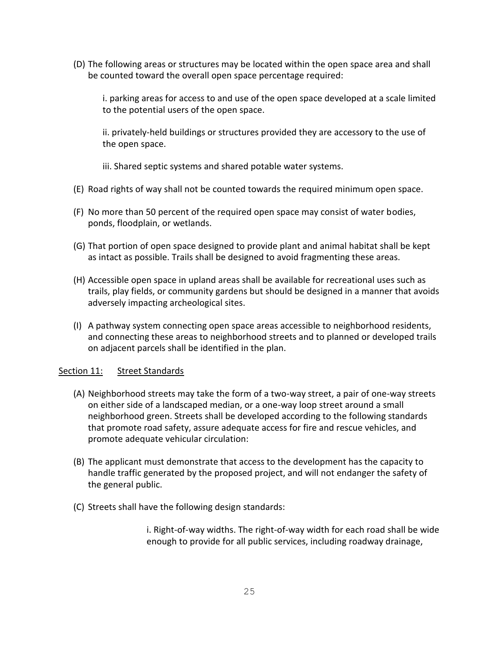(D) The following areas or structures may be located within the open space area and shall be counted toward the overall open space percentage required:

i. parking areas for access to and use of the open space developed at a scale limited to the potential users of the open space.

ii. privately-held buildings or structures provided they are accessory to the use of the open space.

iii. Shared septic systems and shared potable water systems.

- (E) Road rights of way shall not be counted towards the required minimum open space.
- (F) No more than 50 percent of the required open space may consist of water bodies, ponds, floodplain, or wetlands.
- (G) That portion of open space designed to provide plant and animal habitat shall be kept as intact as possible. Trails shall be designed to avoid fragmenting these areas.
- (H) Accessible open space in upland areas shall be available for recreational uses such as trails, play fields, or community gardens but should be designed in a manner that avoids adversely impacting archeological sites.
- (I) A pathway system connecting open space areas accessible to neighborhood residents, and connecting these areas to neighborhood streets and to planned or developed trails on adjacent parcels shall be identified in the plan.

#### Section 11: Street Standards

- (A) Neighborhood streets may take the form of a two-way street, a pair of one-way streets on either side of a landscaped median, or a one-way loop street around a small neighborhood green. Streets shall be developed according to the following standards that promote road safety, assure adequate access for fire and rescue vehicles, and promote adequate vehicular circulation:
- (B) The applicant must demonstrate that access to the development has the capacity to handle traffic generated by the proposed project, and will not endanger the safety of the general public.
- (C) Streets shall have the following design standards:

i. Right-of-way widths. The right-of-way width for each road shall be wide enough to provide for all public services, including roadway drainage,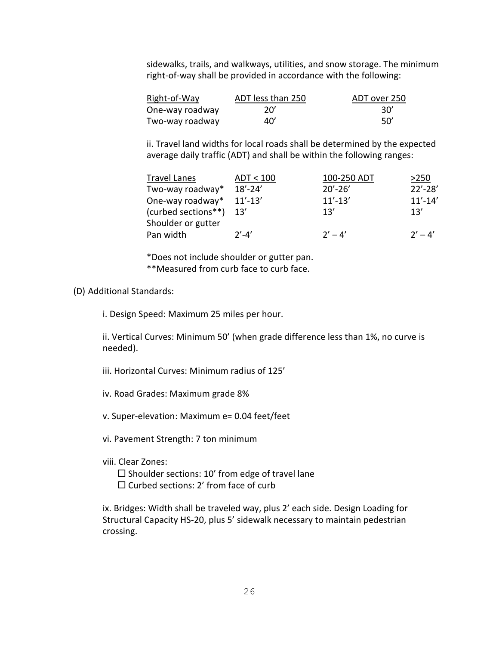sidewalks, trails, and walkways, utilities, and snow storage. The minimum right-of-way shall be provided in accordance with the following:

| Right-of-Way    | ADT less than 250 | ADT over 250 |
|-----------------|-------------------|--------------|
| One-way roadway | 20'               | -30′         |
| Two-way roadway | 40'               | -50′         |

ii. Travel land widths for local roads shall be determined by the expected average daily traffic (ADT) and shall be within the following ranges:

| Travel Lanes            | ADT < 100   | 100-250 ADT | >250        |
|-------------------------|-------------|-------------|-------------|
| Two-way roadway*        | $18' - 24'$ | $20' - 26'$ | $22' - 28'$ |
| One-way roadway*        | $11' - 13'$ | $11' - 13'$ | $11' - 14'$ |
| (curbed sections**) 13' |             | 13'         | 13'         |
| Shoulder or gutter      |             |             |             |
| Pan width               | $2' - 4'$   | $2' - 4'$   | $2' - 4'$   |

\*Does not include shoulder or gutter pan. \*\*Measured from curb face to curb face.

(D) Additional Standards:

i. Design Speed: Maximum 25 miles per hour.

ii. Vertical Curves: Minimum 50' (when grade difference less than 1%, no curve is needed).

iii. Horizontal Curves: Minimum radius of 125'

iv. Road Grades: Maximum grade 8%

v. Super-elevation: Maximum e= 0.04 feet/feet

vi. Pavement Strength: 7 ton minimum

viii. Clear Zones:

 $\square$  Shoulder sections: 10' from edge of travel lane  $\square$  Curbed sections: 2' from face of curb

ix. Bridges: Width shall be traveled way, plus 2' each side. Design Loading for Structural Capacity HS-20, plus 5' sidewalk necessary to maintain pedestrian crossing.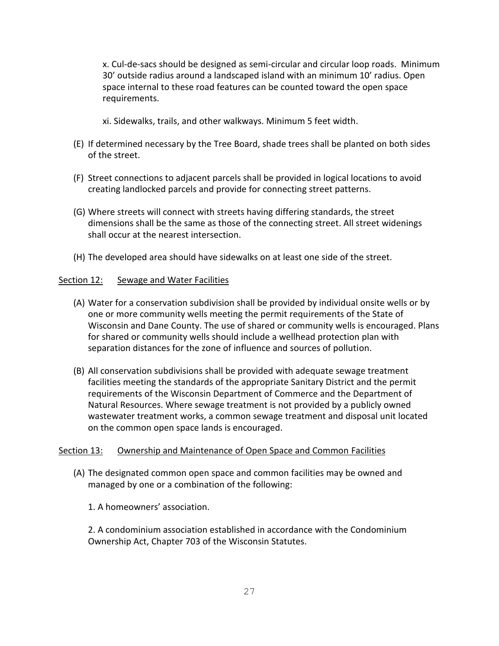x. Cul-de-sacs should be designed as semi-circular and circular loop roads. Minimum 30' outside radius around a landscaped island with an minimum 10' radius. Open space internal to these road features can be counted toward the open space requirements.

xi. Sidewalks, trails, and other walkways. Minimum 5 feet width.

- (E) If determined necessary by the Tree Board, shade trees shall be planted on both sides of the street.
- (F) Street connections to adjacent parcels shall be provided in logical locations to avoid creating landlocked parcels and provide for connecting street patterns.
- (G) Where streets will connect with streets having differing standards, the street dimensions shall be the same as those of the connecting street. All street widenings shall occur at the nearest intersection.
- (H) The developed area should have sidewalks on at least one side of the street.

## Section 12: Sewage and Water Facilities

- (A) Water for a conservation subdivision shall be provided by individual onsite wells or by one or more community wells meeting the permit requirements of the State of Wisconsin and Dane County. The use of shared or community wells is encouraged. Plans for shared or community wells should include a wellhead protection plan with separation distances for the zone of influence and sources of pollution.
- (B) All conservation subdivisions shall be provided with adequate sewage treatment facilities meeting the standards of the appropriate Sanitary District and the permit requirements of the Wisconsin Department of Commerce and the Department of Natural Resources. Where sewage treatment is not provided by a publicly owned wastewater treatment works, a common sewage treatment and disposal unit located on the common open space lands is encouraged.

## Section 13: Ownership and Maintenance of Open Space and Common Facilities

- (A) The designated common open space and common facilities may be owned and managed by one or a combination of the following:
	- 1. A homeowners' association.

2. A condominium association established in accordance with the Condominium Ownership Act, Chapter 703 of the Wisconsin Statutes.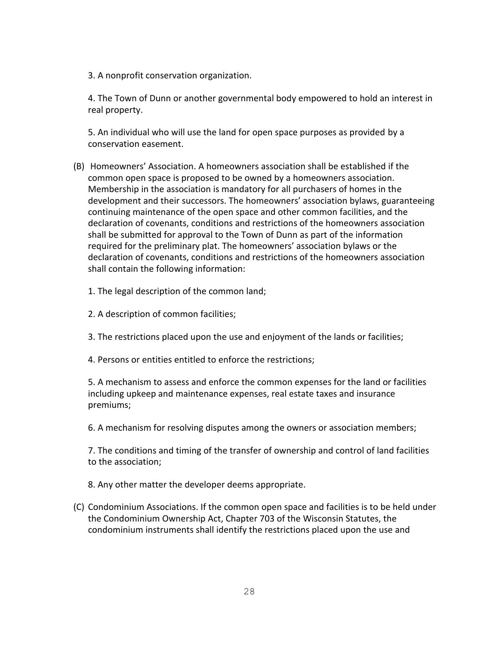3. A nonprofit conservation organization.

4. The Town of Dunn or another governmental body empowered to hold an interest in real property.

5. An individual who will use the land for open space purposes as provided by a conservation easement.

- (B) Homeowners' Association. A homeowners association shall be established if the common open space is proposed to be owned by a homeowners association. Membership in the association is mandatory for all purchasers of homes in the development and their successors. The homeowners' association bylaws, guaranteeing continuing maintenance of the open space and other common facilities, and the declaration of covenants, conditions and restrictions of the homeowners association shall be submitted for approval to the Town of Dunn as part of the information required for the preliminary plat. The homeowners' association bylaws or the declaration of covenants, conditions and restrictions of the homeowners association shall contain the following information:
	- 1. The legal description of the common land;
	- 2. A description of common facilities;
	- 3. The restrictions placed upon the use and enjoyment of the lands or facilities;
	- 4. Persons or entities entitled to enforce the restrictions;

5. A mechanism to assess and enforce the common expenses for the land or facilities including upkeep and maintenance expenses, real estate taxes and insurance premiums;

6. A mechanism for resolving disputes among the owners or association members;

7. The conditions and timing of the transfer of ownership and control of land facilities to the association;

8. Any other matter the developer deems appropriate.

(C) Condominium Associations. If the common open space and facilities is to be held under the Condominium Ownership Act, Chapter 703 of the Wisconsin Statutes, the condominium instruments shall identify the restrictions placed upon the use and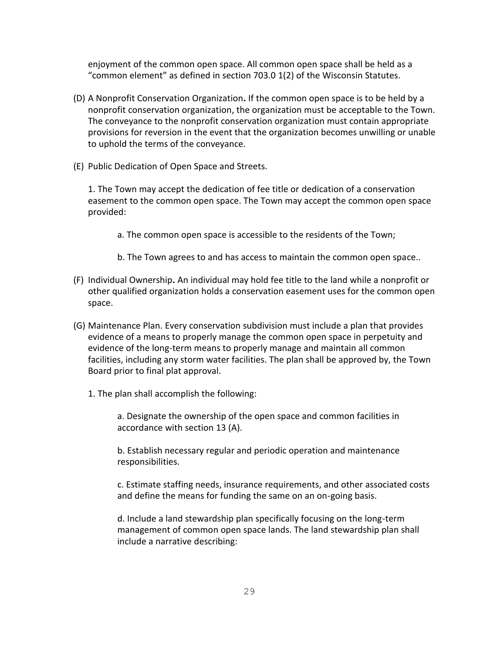enjoyment of the common open space. All common open space shall be held as a "common element" as defined in section 703.0 1(2) of the Wisconsin Statutes.

- (D) A Nonprofit Conservation Organization**.** If the common open space is to be held by a nonprofit conservation organization, the organization must be acceptable to the Town. The conveyance to the nonprofit conservation organization must contain appropriate provisions for reversion in the event that the organization becomes unwilling or unable to uphold the terms of the conveyance.
- (E) Public Dedication of Open Space and Streets.

1. The Town may accept the dedication of fee title or dedication of a conservation easement to the common open space. The Town may accept the common open space provided:

- a. The common open space is accessible to the residents of the Town;
- b. The Town agrees to and has access to maintain the common open space..
- (F) Individual Ownership**.** An individual may hold fee title to the land while a nonprofit or other qualified organization holds a conservation easement uses for the common open space.
- (G) Maintenance Plan. Every conservation subdivision must include a plan that provides evidence of a means to properly manage the common open space in perpetuity and evidence of the long-term means to properly manage and maintain all common facilities, including any storm water facilities. The plan shall be approved by, the Town Board prior to final plat approval.
	- 1. The plan shall accomplish the following:

a. Designate the ownership of the open space and common facilities in accordance with section 13 (A).

b. Establish necessary regular and periodic operation and maintenance responsibilities.

c. Estimate staffing needs, insurance requirements, and other associated costs and define the means for funding the same on an on-going basis.

d. Include a land stewardship plan specifically focusing on the long-term management of common open space lands. The land stewardship plan shall include a narrative describing: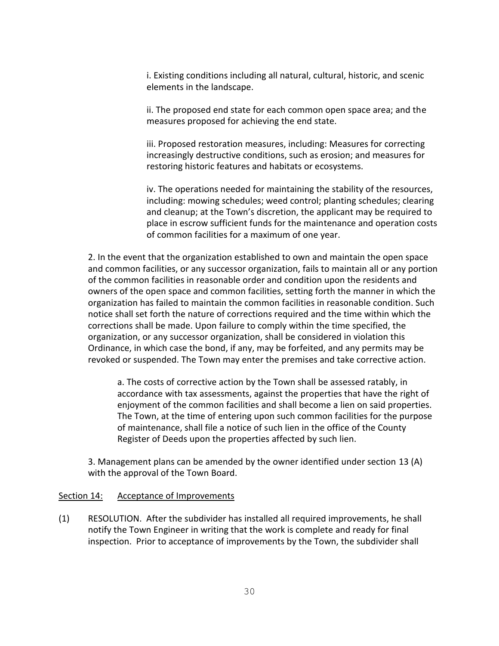i. Existing conditions including all natural, cultural, historic, and scenic elements in the landscape.

ii. The proposed end state for each common open space area; and the measures proposed for achieving the end state.

iii. Proposed restoration measures, including: Measures for correcting increasingly destructive conditions, such as erosion; and measures for restoring historic features and habitats or ecosystems.

iv. The operations needed for maintaining the stability of the resources, including: mowing schedules; weed control; planting schedules; clearing and cleanup; at the Town's discretion, the applicant may be required to place in escrow sufficient funds for the maintenance and operation costs of common facilities for a maximum of one year.

2. In the event that the organization established to own and maintain the open space and common facilities, or any successor organization, fails to maintain all or any portion of the common facilities in reasonable order and condition upon the residents and owners of the open space and common facilities, setting forth the manner in which the organization has failed to maintain the common facilities in reasonable condition. Such notice shall set forth the nature of corrections required and the time within which the corrections shall be made. Upon failure to comply within the time specified, the organization, or any successor organization, shall be considered in violation this Ordinance, in which case the bond, if any, may be forfeited, and any permits may be revoked or suspended. The Town may enter the premises and take corrective action.

a. The costs of corrective action by the Town shall be assessed ratably, in accordance with tax assessments, against the properties that have the right of enjoyment of the common facilities and shall become a lien on said properties. The Town, at the time of entering upon such common facilities for the purpose of maintenance, shall file a notice of such lien in the office of the County Register of Deeds upon the properties affected by such lien.

3. Management plans can be amended by the owner identified under section 13 (A) with the approval of the Town Board.

#### Section 14: Acceptance of Improvements

(1) RESOLUTION. After the subdivider has installed all required improvements, he shall notify the Town Engineer in writing that the work is complete and ready for final inspection. Prior to acceptance of improvements by the Town, the subdivider shall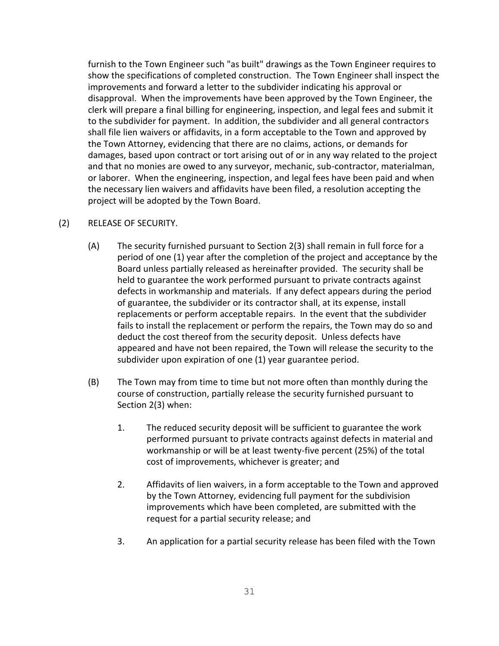furnish to the Town Engineer such "as built" drawings as the Town Engineer requires to show the specifications of completed construction. The Town Engineer shall inspect the improvements and forward a letter to the subdivider indicating his approval or disapproval. When the improvements have been approved by the Town Engineer, the clerk will prepare a final billing for engineering, inspection, and legal fees and submit it to the subdivider for payment. In addition, the subdivider and all general contractors shall file lien waivers or affidavits, in a form acceptable to the Town and approved by the Town Attorney, evidencing that there are no claims, actions, or demands for damages, based upon contract or tort arising out of or in any way related to the project and that no monies are owed to any surveyor, mechanic, sub-contractor, materialman, or laborer. When the engineering, inspection, and legal fees have been paid and when the necessary lien waivers and affidavits have been filed, a resolution accepting the project will be adopted by the Town Board.

#### (2) RELEASE OF SECURITY.

- (A) The security furnished pursuant to Section 2(3) shall remain in full force for a period of one (1) year after the completion of the project and acceptance by the Board unless partially released as hereinafter provided. The security shall be held to guarantee the work performed pursuant to private contracts against defects in workmanship and materials. If any defect appears during the period of guarantee, the subdivider or its contractor shall, at its expense, install replacements or perform acceptable repairs. In the event that the subdivider fails to install the replacement or perform the repairs, the Town may do so and deduct the cost thereof from the security deposit. Unless defects have appeared and have not been repaired, the Town will release the security to the subdivider upon expiration of one (1) year guarantee period.
- (B) The Town may from time to time but not more often than monthly during the course of construction, partially release the security furnished pursuant to Section 2(3) when:
	- 1. The reduced security deposit will be sufficient to guarantee the work performed pursuant to private contracts against defects in material and workmanship or will be at least twenty-five percent (25%) of the total cost of improvements, whichever is greater; and
	- 2. Affidavits of lien waivers, in a form acceptable to the Town and approved by the Town Attorney, evidencing full payment for the subdivision improvements which have been completed, are submitted with the request for a partial security release; and
	- 3. An application for a partial security release has been filed with the Town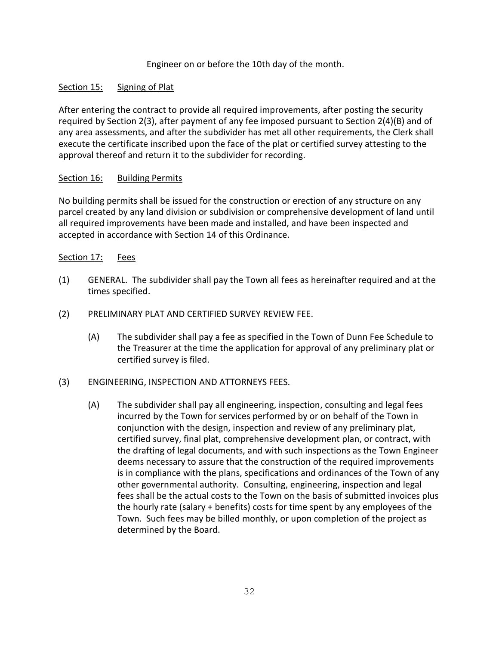## Engineer on or before the 10th day of the month.

## Section 15: Signing of Plat

After entering the contract to provide all required improvements, after posting the security required by Section 2(3), after payment of any fee imposed pursuant to Section 2(4)(B) and of any area assessments, and after the subdivider has met all other requirements, the Clerk shall execute the certificate inscribed upon the face of the plat or certified survey attesting to the approval thereof and return it to the subdivider for recording.

#### Section 16: Building Permits

No building permits shall be issued for the construction or erection of any structure on any parcel created by any land division or subdivision or comprehensive development of land until all required improvements have been made and installed, and have been inspected and accepted in accordance with Section 14 of this Ordinance.

#### Section 17: Fees

- (1) GENERAL. The subdivider shall pay the Town all fees as hereinafter required and at the times specified.
- (2) PRELIMINARY PLAT AND CERTIFIED SURVEY REVIEW FEE.
	- (A) The subdivider shall pay a fee as specified in the Town of Dunn Fee Schedule to the Treasurer at the time the application for approval of any preliminary plat or certified survey is filed.
- (3) ENGINEERING, INSPECTION AND ATTORNEYS FEES.
	- (A) The subdivider shall pay all engineering, inspection, consulting and legal fees incurred by the Town for services performed by or on behalf of the Town in conjunction with the design, inspection and review of any preliminary plat, certified survey, final plat, comprehensive development plan, or contract, with the drafting of legal documents, and with such inspections as the Town Engineer deems necessary to assure that the construction of the required improvements is in compliance with the plans, specifications and ordinances of the Town of any other governmental authority. Consulting, engineering, inspection and legal fees shall be the actual costs to the Town on the basis of submitted invoices plus the hourly rate (salary + benefits) costs for time spent by any employees of the Town. Such fees may be billed monthly, or upon completion of the project as determined by the Board.